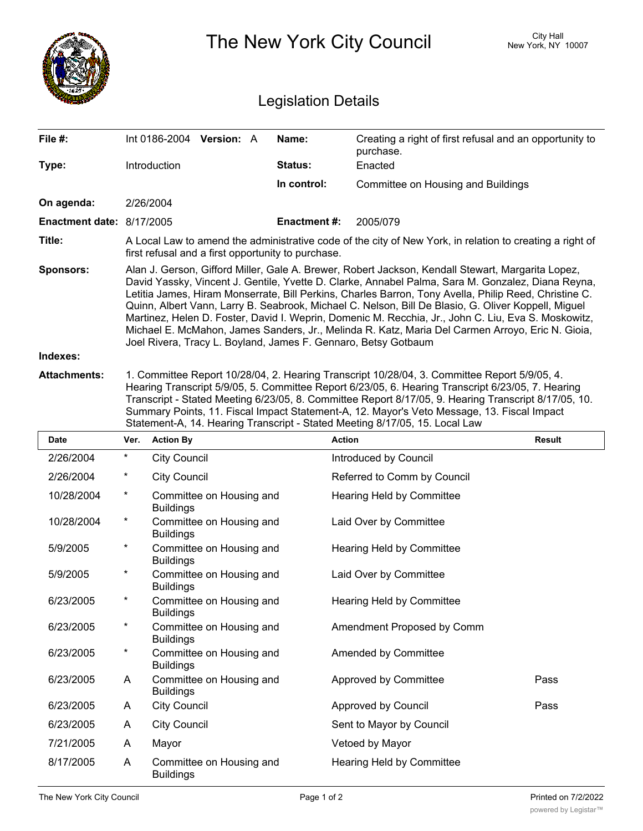|                                          |                                                                                                                                                                                                                                                                                                                                                                                                                                                                                                                                                                                                                                                                                                     | The New York City Council                                                                                                                                      | <b>City Hall</b><br>New York, NY 10007 |                                                                                                                                                                                                                                                                                                                                                                                                                                                                                        |        |  |  |
|------------------------------------------|-----------------------------------------------------------------------------------------------------------------------------------------------------------------------------------------------------------------------------------------------------------------------------------------------------------------------------------------------------------------------------------------------------------------------------------------------------------------------------------------------------------------------------------------------------------------------------------------------------------------------------------------------------------------------------------------------------|----------------------------------------------------------------------------------------------------------------------------------------------------------------|----------------------------------------|----------------------------------------------------------------------------------------------------------------------------------------------------------------------------------------------------------------------------------------------------------------------------------------------------------------------------------------------------------------------------------------------------------------------------------------------------------------------------------------|--------|--|--|
| <b>Legislation Details</b>               |                                                                                                                                                                                                                                                                                                                                                                                                                                                                                                                                                                                                                                                                                                     |                                                                                                                                                                |                                        |                                                                                                                                                                                                                                                                                                                                                                                                                                                                                        |        |  |  |
| File #:                                  |                                                                                                                                                                                                                                                                                                                                                                                                                                                                                                                                                                                                                                                                                                     | Int 0186-2004 Version: A                                                                                                                                       | Name:                                  | Creating a right of first refusal and an opportunity to<br>purchase.                                                                                                                                                                                                                                                                                                                                                                                                                   |        |  |  |
| Type:                                    |                                                                                                                                                                                                                                                                                                                                                                                                                                                                                                                                                                                                                                                                                                     | Introduction                                                                                                                                                   | Status:                                | Enacted                                                                                                                                                                                                                                                                                                                                                                                                                                                                                |        |  |  |
|                                          |                                                                                                                                                                                                                                                                                                                                                                                                                                                                                                                                                                                                                                                                                                     |                                                                                                                                                                | In control:                            | <b>Committee on Housing and Buildings</b>                                                                                                                                                                                                                                                                                                                                                                                                                                              |        |  |  |
| On agenda:                               |                                                                                                                                                                                                                                                                                                                                                                                                                                                                                                                                                                                                                                                                                                     | 2/26/2004                                                                                                                                                      |                                        |                                                                                                                                                                                                                                                                                                                                                                                                                                                                                        |        |  |  |
| Enactment date: 8/17/2005                |                                                                                                                                                                                                                                                                                                                                                                                                                                                                                                                                                                                                                                                                                                     | 2005/079<br><b>Enactment#:</b>                                                                                                                                 |                                        |                                                                                                                                                                                                                                                                                                                                                                                                                                                                                        |        |  |  |
| Title:                                   |                                                                                                                                                                                                                                                                                                                                                                                                                                                                                                                                                                                                                                                                                                     | A Local Law to amend the administrative code of the city of New York, in relation to creating a right of<br>first refusal and a first opportunity to purchase. |                                        |                                                                                                                                                                                                                                                                                                                                                                                                                                                                                        |        |  |  |
| Sponsors:                                | Alan J. Gerson, Gifford Miller, Gale A. Brewer, Robert Jackson, Kendall Stewart, Margarita Lopez,<br>David Yassky, Vincent J. Gentile, Yvette D. Clarke, Annabel Palma, Sara M. Gonzalez, Diana Reyna,<br>Letitia James, Hiram Monserrate, Bill Perkins, Charles Barron, Tony Avella, Philip Reed, Christine C.<br>Quinn, Albert Vann, Larry B. Seabrook, Michael C. Nelson, Bill De Blasio, G. Oliver Koppell, Miguel<br>Martinez, Helen D. Foster, David I. Weprin, Domenic M. Recchia, Jr., John C. Liu, Eva S. Moskowitz,<br>Michael E. McMahon, James Sanders, Jr., Melinda R. Katz, Maria Del Carmen Arroyo, Eric N. Gioia,<br>Joel Rivera, Tracy L. Boyland, James F. Gennaro, Betsy Gotbaum |                                                                                                                                                                |                                        |                                                                                                                                                                                                                                                                                                                                                                                                                                                                                        |        |  |  |
| Indexes:                                 |                                                                                                                                                                                                                                                                                                                                                                                                                                                                                                                                                                                                                                                                                                     |                                                                                                                                                                |                                        |                                                                                                                                                                                                                                                                                                                                                                                                                                                                                        |        |  |  |
| <b>Attachments:</b>                      |                                                                                                                                                                                                                                                                                                                                                                                                                                                                                                                                                                                                                                                                                                     |                                                                                                                                                                |                                        | 1. Committee Report 10/28/04, 2. Hearing Transcript 10/28/04, 3. Committee Report 5/9/05, 4.<br>Hearing Transcript 5/9/05, 5. Committee Report 6/23/05, 6. Hearing Transcript 6/23/05, 7. Hearing<br>Transcript - Stated Meeting 6/23/05, 8. Committee Report 8/17/05, 9. Hearing Transcript 8/17/05, 10.<br>Summary Points, 11. Fiscal Impact Statement-A, 12. Mayor's Veto Message, 13. Fiscal Impact<br>Statement-A, 14. Hearing Transcript - Stated Meeting 8/17/05, 15. Local Law |        |  |  |
| Date                                     | Ver.                                                                                                                                                                                                                                                                                                                                                                                                                                                                                                                                                                                                                                                                                                | <b>Action By</b>                                                                                                                                               |                                        | <b>Action</b>                                                                                                                                                                                                                                                                                                                                                                                                                                                                          | Result |  |  |
| 2/26/2004                                | *                                                                                                                                                                                                                                                                                                                                                                                                                                                                                                                                                                                                                                                                                                   | <b>City Council</b>                                                                                                                                            |                                        | Introduced by Council                                                                                                                                                                                                                                                                                                                                                                                                                                                                  |        |  |  |
| 2/26/2004                                |                                                                                                                                                                                                                                                                                                                                                                                                                                                                                                                                                                                                                                                                                                     | <b>City Council</b>                                                                                                                                            |                                        | Referred to Comm by Council                                                                                                                                                                                                                                                                                                                                                                                                                                                            |        |  |  |
| 10/28/2004                               | *                                                                                                                                                                                                                                                                                                                                                                                                                                                                                                                                                                                                                                                                                                   | Committee on Housing and<br><b>Buildings</b>                                                                                                                   |                                        | Hearing Held by Committee                                                                                                                                                                                                                                                                                                                                                                                                                                                              |        |  |  |
| 10/28/2004                               | $^\star$                                                                                                                                                                                                                                                                                                                                                                                                                                                                                                                                                                                                                                                                                            | Committee on Housing and<br><b>Buildings</b>                                                                                                                   |                                        | Laid Over by Committee                                                                                                                                                                                                                                                                                                                                                                                                                                                                 |        |  |  |
| 5/9/2005                                 | *                                                                                                                                                                                                                                                                                                                                                                                                                                                                                                                                                                                                                                                                                                   | Committee on Housing and<br><b>Buildings</b>                                                                                                                   |                                        | Hearing Held by Committee                                                                                                                                                                                                                                                                                                                                                                                                                                                              |        |  |  |
| 5/9/2005                                 | *                                                                                                                                                                                                                                                                                                                                                                                                                                                                                                                                                                                                                                                                                                   | Committee on Housing and<br><b>Buildings</b>                                                                                                                   |                                        | Laid Over by Committee                                                                                                                                                                                                                                                                                                                                                                                                                                                                 |        |  |  |
| 6/23/2005                                | *                                                                                                                                                                                                                                                                                                                                                                                                                                                                                                                                                                                                                                                                                                   | Committee on Housing and<br><b>Buildings</b>                                                                                                                   |                                        | Hearing Held by Committee                                                                                                                                                                                                                                                                                                                                                                                                                                                              |        |  |  |
| 6/23/2005                                | *                                                                                                                                                                                                                                                                                                                                                                                                                                                                                                                                                                                                                                                                                                   | Committee on Housing and<br><b>Buildings</b>                                                                                                                   |                                        | Amendment Proposed by Comm                                                                                                                                                                                                                                                                                                                                                                                                                                                             |        |  |  |
| 6/23/2005                                | *                                                                                                                                                                                                                                                                                                                                                                                                                                                                                                                                                                                                                                                                                                   | Committee on Housing and<br><b>Buildings</b>                                                                                                                   |                                        | Amended by Committee                                                                                                                                                                                                                                                                                                                                                                                                                                                                   |        |  |  |
| 6/23/2005                                | A                                                                                                                                                                                                                                                                                                                                                                                                                                                                                                                                                                                                                                                                                                   | Committee on Housing and<br><b>Buildings</b>                                                                                                                   |                                        | Approved by Committee                                                                                                                                                                                                                                                                                                                                                                                                                                                                  | Pass   |  |  |
| 6/23/2005                                | A                                                                                                                                                                                                                                                                                                                                                                                                                                                                                                                                                                                                                                                                                                   | <b>City Council</b>                                                                                                                                            |                                        | Approved by Council                                                                                                                                                                                                                                                                                                                                                                                                                                                                    | Pass   |  |  |
| 6/23/2005                                | A                                                                                                                                                                                                                                                                                                                                                                                                                                                                                                                                                                                                                                                                                                   | <b>City Council</b>                                                                                                                                            |                                        | Sent to Mayor by Council                                                                                                                                                                                                                                                                                                                                                                                                                                                               |        |  |  |
| 7/21/2005                                | A                                                                                                                                                                                                                                                                                                                                                                                                                                                                                                                                                                                                                                                                                                   | Mayor                                                                                                                                                          |                                        | Vetoed by Mayor                                                                                                                                                                                                                                                                                                                                                                                                                                                                        |        |  |  |
| 8/17/2005                                | A                                                                                                                                                                                                                                                                                                                                                                                                                                                                                                                                                                                                                                                                                                   | Committee on Housing and<br><b>Buildings</b>                                                                                                                   |                                        | Hearing Held by Committee                                                                                                                                                                                                                                                                                                                                                                                                                                                              |        |  |  |
| The New York City Council<br>Page 1 of 2 |                                                                                                                                                                                                                                                                                                                                                                                                                                                                                                                                                                                                                                                                                                     |                                                                                                                                                                |                                        | Printed on 7/2/2022                                                                                                                                                                                                                                                                                                                                                                                                                                                                    |        |  |  |